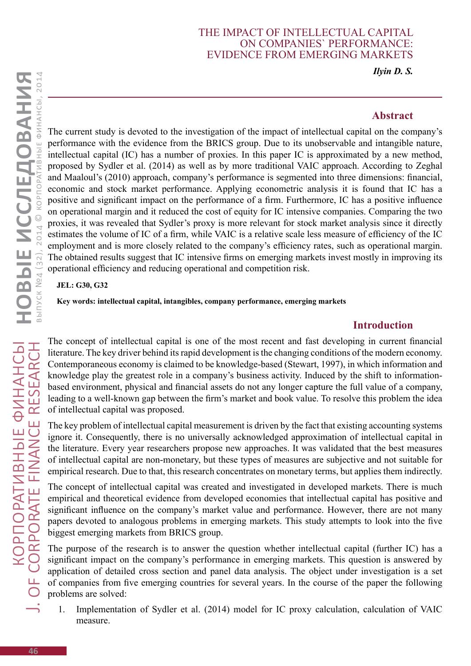### THE IMPACT OF INTELLECTUAL CAPITAL ON COMPANIES` PERFORMANCE: EVIDENCE FROM EMERGING MARKETS

*Ilyin D. S.*

#### **Abstract**

The current study is devoted to the investigation of the impact of intellectual capital on the company's performance with the evidence from the BRICS group. Due to its unobservable and intangible nature, intellectual capital (IC) has a number of proxies. In this paper IC is approximated by a new method, proposed by Sydler et al. (2014) as well as by more traditional VAIC approach. According to Zeghal and Maaloul's (2010) approach, company's performance is segmented into three dimensions: financial, economic and stock market performance. Applying econometric analysis it is found that IC has a positive and significant impact on the performance of a firm. Furthermore, IC has a positive influence on operational margin and it reduced the cost of equity for IC intensive companies. Comparing the two proxies, it was revealed that Sydler's proxy is more relevant for stock market analysis since it directly estimates the volume of IC of a firm, while VAIC is a relative scale less measure of efficiency of the IC employment and is more closely related to the company's efficiency rates, such as operational margin. The obtained results suggest that IC intensive firms on emerging markets invest mostly in improving its operational efficiency and reducing operational and competition risk.

**JEL: G30, G32**

**Key words: intellectual capital, intangibles, company performance, emerging markets** 

# **Introduction**

The concept of intellectual capital is one of the most recent and fast developing in current financial literature. The key driver behind its rapid development is the changing conditions of the modern economy. Contemporaneous economy is claimed to be knowledge-based (Stewart, 1997), in which information and knowledge play the greatest role in a company's business activity. Induced by the shift to informationbased environment, physical and financial assets do not any longer capture the full value of a company, leading to a well-known gap between the firm's market and book value. To resolve this problem the idea of intellectual capital was proposed.

The key problem of intellectual capital measurement is driven by the fact that existing accounting systems ignore it. Consequently, there is no universally acknowledged approximation of intellectual capital in the literature. Every year researchers propose new approaches. It was validated that the best measures of intellectual capital are non-monetary, but these types of measures are subjective and not suitable for empirical research. Due to that, this research concentrates on monetary terms, but applies them indirectly.

The concept of intellectual capital was created and investigated in developed markets. There is much empirical and theoretical evidence from developed economies that intellectual capital has positive and significant influence on the company's market value and performance. However, there are not many papers devoted to analogous problems in emerging markets. This study attempts to look into the five biggest emerging markets from BRICS group.

The purpose of the research is to answer the question whether intellectual capital (further IC) has a significant impact on the company's performance in emerging markets. This question is answered by application of detailed cross section and panel data analysis. The object under investigation is a set of companies from five emerging countries for several years. In the course of the paper the following problems are solved:

1. Implementation of Sydler et al. (2014) model for IC proxy calculation, calculation of VAIC measure.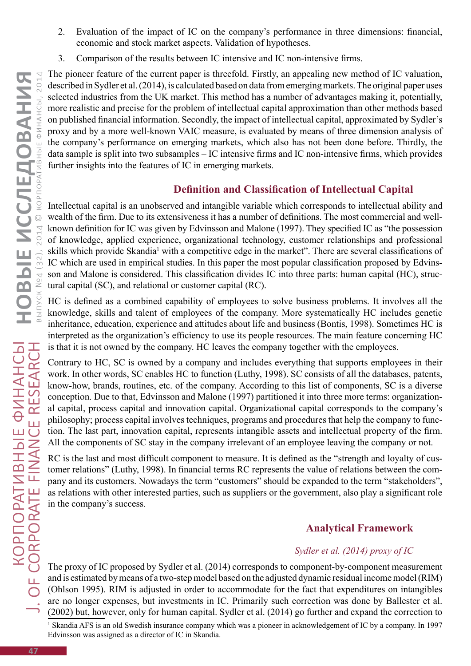- 2. Evaluation of the impact of IC on the company's performance in three dimensions: financial, economic and stock market aspects. Validation of hypotheses.
- 3. Comparison of the results between IC intensive and IC non-intensive firms.

The pioneer feature of the current paper is threefold. Firstly, an appealing new method of IC valuation, described in Sydler et al. (2014), is calculated based on data from emerging markets. The original paper uses selected industries from the UK market. This method has a number of advantages making it, potentially, more realistic and precise for the problem of intellectual capital approximation than other methods based on published financial information. Secondly, the impact of intellectual capital, approximated by Sydler's proxy and by a more well-known VAIC measure, is evaluated by means of three dimension analysis of the company's performance on emerging markets, which also has not been done before. Thirdly, the data sample is split into two subsamples – IC intensive firms and IC non-intensive firms, which provides further insights into the features of IC in emerging markets.

# **Definition and Classification of Intellectual Capital**

Intellectual capital is an unobserved and intangible variable which corresponds to intellectual ability and wealth of the firm. Due to its extensiveness it has a number of definitions. The most commercial and wellknown definition for IC was given by Edvinsson and Malone (1997). They specified IC as "the possession of knowledge, applied experience, organizational technology, customer relationships and professional skills which provide Skandia<sup>1</sup> with a competitive edge in the market". There are several classifications of IC which are used in empirical studies. In this paper the most popular classification proposed by Edvinsson and Malone is considered. This classification divides IC into three parts: human capital (HC), structural capital (SC), and relational or customer capital (RC).

HC is defined as a combined capability of employees to solve business problems. It involves all the knowledge, skills and talent of employees of the company. More systematically HC includes genetic inheritance, education, experience and attitudes about life and business (Bontis, 1998). Sometimes HC is interpreted as the organization's efficiency to use its people resources. The main feature concerning HC is that it is not owned by the company. HC leaves the company together with the employees.

Contrary to HC, SC is owned by a company and includes everything that supports employees in their work. In other words, SC enables HC to function (Luthy, 1998). SC consists of all the databases, patents, know-how, brands, routines, etc. of the company. According to this list of components, SC is a diverse conception. Due to that, Edvinsson and Malone (1997) partitioned it into three more terms: organizational capital, process capital and innovation capital. Organizational capital corresponds to the company's philosophy; process capital involves techniques, programs and procedures that help the company to function. The last part, innovation capital, represents intangible assets and intellectual property of the firm. All the components of SC stay in the company irrelevant of an employee leaving the company or not.

RC is the last and most difficult component to measure. It is defined as the "strength and loyalty of customer relations" (Luthy, 1998). In financial terms RC represents the value of relations between the company and its customers. Nowadays the term "customers" should be expanded to the term "stakeholders", as relations with other interested parties, such as suppliers or the government, also play a significant role in the company's success.

# **Analytical Framework**

## *Sydler et al. (2014) proxy of IC*

The proxy of IC proposed by Sydler et al. (2014) corresponds to component-by-component measurement and is estimated by means of a two-step model based on the adjusted dynamic residual income model (RIM) (Ohlson 1995). RIM is adjusted in order to accommodate for the fact that expenditures on intangibles are no longer expenses, but investments in IC. Primarily such correction was done by Ballester et al. (2002) but, however, only for human capital. Sydler et al. (2014) go further and expand the correction to

1 Skandia AFS is an old Swedish insurance company which was a pioneer in acknowledgement of IC by a company. In 1997 Edvinsson was assigned as a director of IC in Skandia.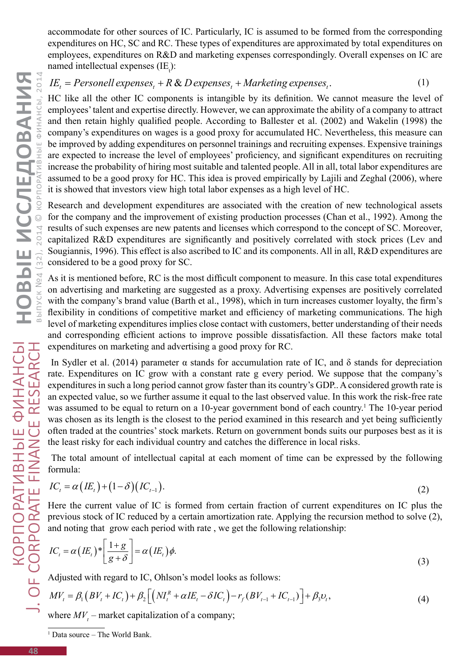accommodate for other sources of IC. Particularly, IC is assumed to be formed from the corresponding expenditures on HC, SC and RC. These types of expenditures are approximated by total expenditures on employees, expenditures on R&D and marketing expenses correspondingly. Overall expenses on IC are named intellectual expenses  $(IE_t)$ :

 $IE = Personal expenses + R & D expenses + Marketing expenses.$  (1)

HC like all the other IC components is intangible by its definition. We cannot measure the level of employees' talent and expertise directly. However, we can approximate the ability of a company to attract and then retain highly qualified people. According to Ballester et al. (2002) and Wakelin (1998) the company's expenditures on wages is a good proxy for accumulated HC. Nevertheless, this measure can be improved by adding expenditures on personnel trainings and recruiting expenses. Expensive trainings are expected to increase the level of employees' proficiency, and significant expenditures on recruiting increase the probability of hiring most suitable and talented people. All in all, total labor expenditures are assumed to be a good proxy for HC. This idea is proved empirically by Lajili and Zeghal (2006), where it is showed that investors view high total labor expenses as a high level of HC.

Research and development expenditures are associated with the creation of new technological assets for the company and the improvement of existing production processes (Chan et al., 1992). Among the results of such expenses are new patents and licenses which correspond to the concept of SC. Moreover, capitalized R&D expenditures are significantly and positively correlated with stock prices (Lev and Sougiannis, 1996). This effect is also ascribed to IC and its components. All in all, R&D expenditures are considered to be a good proxy for SC.

As it is mentioned before, RC is the most difficult component to measure. In this case total expenditures on advertising and marketing are suggested as a proxy. Advertising expenses are positively correlated with the company's brand value (Barth et al., 1998), which in turn increases customer loyalty, the firm's flexibility in conditions of competitive market and efficiency of marketing communications. The high level of marketing expenditures implies close contact with customers, better understanding of their needs and corresponding efficient actions to improve possible dissatisfaction. All these factors make total expenditures on marketing and advertising a good proxy for RC.

In Sydler et al. (2014) parameter  $\alpha$  stands for accumulation rate of IC, and  $\delta$  stands for depreciation rate. Expenditures on IC grow with a constant rate g every period. We suppose that the company's expenditures in such a long period cannot grow faster than its country's GDP.. A considered growth rate is an expected value, so we further assume it equal to the last observed value. In this work the risk-free rate was assumed to be equal to return on a 10-year government bond of each country.<sup>1</sup> The 10-year period was chosen as its length is the closest to the period examined in this research and yet being sufficiently often traded at the countries' stock markets. Return on government bonds suits our purposes best as it is the least risky for each individual country and catches the difference in local risks.

 The total amount of intellectual capital at each moment of time can be expressed by the following formula:

$$
IC_t = \alpha \left( I E_t \right) + \left( 1 - \delta \right) \left( I C_{t-1} \right). \tag{2}
$$

Here the current value of IC is formed from certain fraction of current expenditures on IC plus the previous stock of IC reduced by a certain amortization rate. Applying the recursion method to solve (2), and noting that grow each period with rate , we get the following relationship:

$$
IC_t = \alpha \left( I E_t \right) * \left[ \frac{1+g}{g+\delta} \right] = \alpha \left( I E_t \right) \phi.
$$
\n(3)

Adjusted with regard to IC, Ohlson's model looks as follows:

$$
MV_{t} = \beta_{1} (BV_{t} + IC_{t}) + \beta_{2} \Big[ \Big( NI_{t}^{R} + \alpha IE_{t} - \delta IC_{t} \Big) - r_{f} (BV_{t-1} + IC_{t-1}) \Big] + \beta_{3} v_{t}, \tag{4}
$$

where  $MV_t$  – market capitalization of a company;

1 Data source – The World Bank.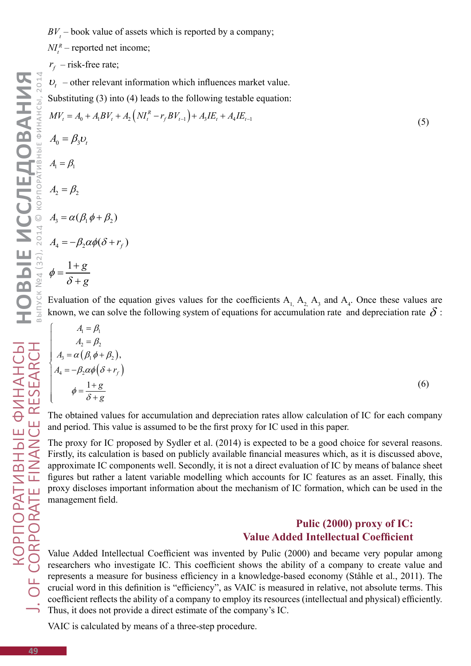$BV$  – book value of assets which is reported by a company;

 $NI_t^R$  – reported net income;

 $r_f$  – risk-free rate;

 $U_t$  – other relevant information which influences market value.

Substituting (3) into (4) leads to the following testable equation:

$$
MV_t = A_0 + A_1BV_t + A_2\left(NI_t^R - r_fBV_{t-1}\right) + A_3IE_t + A_4IE_{t-1}
$$
\n<sup>(5)</sup>

$$
A_1 = \beta_1
$$
  
\n
$$
A_2 = \beta_2
$$
  
\n
$$
A_3 = \alpha(\beta_1 \phi + \beta_2)
$$

 $A_0 = \beta_2 v_1$ 

 $A_4 = -\beta_2 \alpha \phi (\delta + r_f)$ 

 $1 + g$  $\phi = \frac{1+g}{\delta+g}$ 

Evaluation of the equation gives values for the coefficients  $A_1$ ,  $A_2$ ,  $A_3$  and  $A_4$ . Once these values are known, we can solve the following system of equations for accumulation rate and depreciation rate  $\delta$ :

$$
\begin{cases}\nA_1 = \beta_1 \\
A_2 = \beta_2 \\
A_3 = \alpha (\beta_1 \phi + \beta_2), \\
A_4 = -\beta_2 \alpha \phi (\delta + r_f) \\
\phi = \frac{1+g}{\delta + g}\n\end{cases}
$$
\n(6)

The obtained values for accumulation and depreciation rates allow calculation of IC for each company and period. This value is assumed to be the first proxy for IC used in this paper.

The proxy for IC proposed by Sydler et al. (2014) is expected to be a good choice for several reasons. Firstly, its calculation is based on publicly available financial measures which, as it is discussed above, approximate IC components well. Secondly, it is not a direct evaluation of IC by means of balance sheet figures but rather a latent variable modelling which accounts for IC features as an asset. Finally, this proxy discloses important information about the mechanism of IC formation, which can be used in the management field.

## **Pulic (2000) proxy of IC: Value Added Intellectual Coefficient**

Value Added Intellectual Coefficient was invented by Pulic (2000) and became very popular among researchers who investigate IC. This coefficient shows the ability of a company to create value and represents a measure for business efficiency in a knowledge-based economy (Ståhle et al., 2011). The crucial word in this definition is "efficiency", as VAIC is measured in relative, not absolute terms. This coefficient reflects the ability of a company to employ its resources (intellectual and physical) efficiently. Thus, it does not provide a direct estimate of the company's IC.

VAIC is calculated by means of a three-step procedure.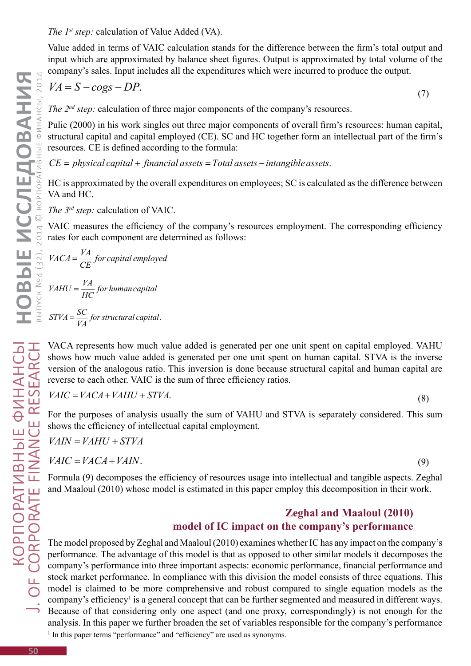*The 1st step:* calculation of Value Added (VA).

Value added in terms of VAIC calculation stands for the difference between the firm's total output and input which are approximated by balance sheet figures. Output is approximated by total volume of the company's sales. Input includes all the expenditures which were incurred to produce the output.

$$
VA = S - \cos S - DP. \tag{7}
$$

*The 2<sup>nd</sup> step:* calculation of three major components of the company's resources.

Pulic (2000) in his work singles out three major components of overall firm's resources: human capital, structural capital and capital employed (CE). SC and HC together form an intellectual part of the firm's resources. CE is defined according to the formula:

 $CE = physical capital + financial assets = Total assets - intangle assets.$ 

HC is approximated by the overall expenditures on employees; SC is calculated as the difference between VA and HC.

*The 3rd step:* calculation of VAIC.

VAIC measures the efficiency of the company's resources employment. The corresponding efficiency rates for each component are determined as follows:

$$
VACA = \frac{VA}{CE} for capital employed
$$
  

$$
VAHU = \frac{VA}{HC} for human capital
$$
  

$$
STVA = \frac{SC}{VA} for structural capital.
$$

VACA represents how much value added is generated per one unit spent on capital employed. VAHU shows how much value added is generated per one unit spent on human capital. STVA is the inverse version of the analogous ratio. This inversion is done because structural capital and human capital are reverse to each other. VAIC is the sum of three efficiency ratios.

$$
VAIC = VACA + VAHU + STVA.
$$
\n<sup>(8)</sup>

For the purposes of analysis usually the sum of VAHU and STVA is separately considered. This sum shows the efficiency of intellectual capital employment.

$$
VAIN = VAHU + STVA
$$

$$
VAIC = VACA + VAIN. \tag{9}
$$

Formula (9) decomposes the efficiency of resources usage into intellectual and tangible aspects. Zeghal and Maaloul (2010) whose model is estimated in this paper employ this decomposition in their work.

## **Zeghal and Maaloul (2010) model of IC impact on the company's performance**

The model proposed by Zeghal and Maaloul (2010) examines whether IC has any impact on the company's performance. The advantage of this model is that as opposed to other similar models it decomposes the company's performance into three important aspects: economic performance, financial performance and stock market performance. In compliance with this division the model consists of three equations. This model is claimed to be more comprehensive and robust compared to single equation models as the company's efficiency<sup>1</sup> is a general concept that can be further segmented and measured in different ways. Because of that considering only one aspect (and one proxy, correspondingly) is not enough for the analysis. In this paper we further broaden the set of variables responsible for the company's performance  $\frac{1}{1}$  In this paper terms "performance" and "efficiency" are used as synonyms.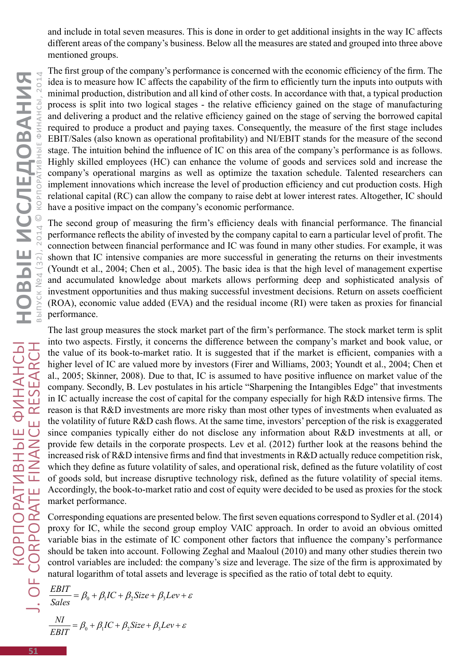and include in total seven measures. This is done in order to get additional insights in the way IC affects different areas of the company's business. Below all the measures are stated and grouped into three above mentioned groups.

The first group of the company's performance is concerned with the economic efficiency of the firm. The idea is to measure how IC affects the capability of the firm to efficiently turn the inputs into outputs with minimal production, distribution and all kind of other costs. In accordance with that, a typical production process is split into two logical stages - the relative efficiency gained on the stage of manufacturing and delivering a product and the relative efficiency gained on the stage of serving the borrowed capital required to produce a product and paying taxes. Consequently, the measure of the first stage includes EBIT/Sales (also known as operational profitability) and NI/EBIT stands for the measure of the second stage. The intuition behind the influence of IC on this area of the company's performance is as follows. Highly skilled employees (HC) can enhance the volume of goods and services sold and increase the company's operational margins as well as optimize the taxation schedule. Talented researchers can implement innovations which increase the level of production efficiency and cut production costs. High relational capital (RC) can allow the company to raise debt at lower interest rates. Altogether, IC should have a positive impact on the company's economic performance.

The second group of measuring the firm's efficiency deals with financial performance. The financial performance reflects the ability of invested by the company capital to earn a particular level of profit. The connection between financial performance and IC was found in many other studies. For example, it was shown that IC intensive companies are more successful in generating the returns on their investments (Youndt et al., 2004; Chen et al., 2005). The basic idea is that the high level of management expertise and accumulated knowledge about markets allows performing deep and sophisticated analysis of investment opportunities and thus making successful investment decisions. Return on assets coefficient (ROA), economic value added (EVA) and the residual income (RI) were taken as proxies for financial performance.

The last group measures the stock market part of the firm's performance. The stock market term is split into two aspects. Firstly, it concerns the difference between the company's market and book value, or the value of its book-to-market ratio. It is suggested that if the market is efficient, companies with a higher level of IC are valued more by investors (Firer and Williams, 2003; Youndt et al., 2004; Chen et al., 2005; Skinner, 2008). Due to that, IC is assumed to have positive influence on market value of the company. Secondly, B. Lev postulates in his article "Sharpening the Intangibles Edge" that investments in IC actually increase the cost of capital for the company especially for high R&D intensive firms. The reason is that R&D investments are more risky than most other types of investments when evaluated as the volatility of future R&D cash flows. At the same time, investors' perception of the risk is exaggerated since companies typically either do not disclose any information about R&D investments at all, or provide few details in the corporate prospects. Lev et al. (2012) further look at the reasons behind the increased risk of R&D intensive firms and find that investments in R&D actually reduce competition risk, which they define as future volatility of sales, and operational risk, defined as the future volatility of cost of goods sold, but increase disruptive technology risk, defined as the future volatility of special items. Accordingly, the book-to-market ratio and cost of equity were decided to be used as proxies for the stock market performance.

Corresponding equations are presented below. The first seven equations correspond to Sydler et al. (2014) proxy for IC, while the second group employ VAIC approach. In order to avoid an obvious omitted variable bias in the estimate of IC component other factors that influence the company's performance should be taken into account. Following Zeghal and Maaloul (2010) and many other studies therein two control variables are included: the company's size and leverage. The size of the firm is approximated by natural logarithm of total assets and leverage is specified as the ratio of total debt to equity.

$$
\frac{EBIT}{Sales} = \beta_0 + \beta_1 IC + \beta_2 Size + \beta_3 Lev + \varepsilon
$$

$$
\frac{NI}{EBIT} = \beta_0 + \beta_1 IC + \beta_2 Size + \beta_3 Lev + \varepsilon
$$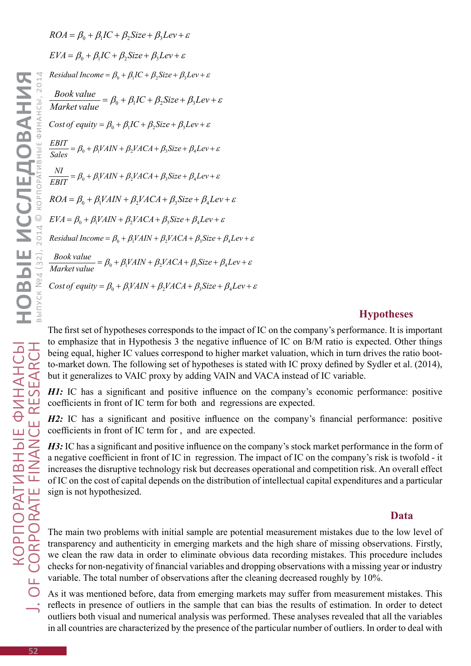$ROA = \beta_0 + \beta_1 IC + \beta_2 Size + \beta_3 Lev + \varepsilon$  $EVA = \beta_0 + \beta_1 IC + \beta_2 Size + \beta_3 Lev + \varepsilon$ *Residual Income* =  $\beta_0 + \beta_1 IC + \beta_2 Size + \beta_3 Lev + \varepsilon$ value  $-\mu_0 + \mu_1$   $\mu_2$   $\mu_3$  $\frac{Book value}{\sqrt{C}} = \beta_0 + \beta_1 IC + \beta_2 Size + \beta_3 Lev$ *Market value*  $=\beta_0+\beta_1IC+\beta_2Size+\beta_3Lev+\varepsilon$  $Cost of equity = \beta_0 + \beta_1 IC + \beta_2 Size + \beta_3 Lev + \varepsilon$  $\frac{EBIT}{SA_{\text{max}}} = \beta_0 + \beta_1 VAIN + \beta_2 VACA + \beta_3 Size + \beta_4 Lev$ *Sales*  $=\beta_0+\beta_1 VAIN + \beta_2 VACA + \beta_3 Size + \beta_4 Lev + \varepsilon$  $\frac{NI}{INT} = \beta_0 + \beta_1 VAIN + \beta_2 VACA + \beta_3 Size + \beta_4 Lev$ *EBIT*  $=\beta_0+\beta_1 VAIN + \beta_2 VACA + \beta_3 Size + \beta_4 Lev + \varepsilon$  $ROA = \beta_0 + \beta_1 VAIN + \beta_2 VACA + \beta_3 Size + \beta_4 Lev + \varepsilon$  $EVA = \beta_0 + \beta_1 VAIN + \beta_2 VACA + \beta_3 Size + \beta_4 Lev + \varepsilon$ *Residual Income* =  $\beta_0 + \beta_1 V A I N + \beta_2 V A C A + \beta_2 S i z e + \beta_4 L e v + \varepsilon$ value  $-\rho_0 + \rho_1 r_{11} + \rho_2 r_{12} + \rho_3 s_{12} + \rho_4$  $\frac{Book \ value}{C} = \beta_0 + \beta_1 VAIN + \beta_2 VACA + \beta_3 Size + \beta_4 Lev$ *Market value*  $=\beta_0+\beta_1 V A I N + \beta_2 V A C A + \beta_3 S i z e + \beta_4 L e v + \varepsilon$ Cost of equity =  $\beta_0 + \beta_1 VAIN + \beta_2 VACA + \beta_3 Size + \beta_4 Lev + \varepsilon$ 

### **Hypotheses**

The first set of hypotheses corresponds to the impact of IC on the company's performance. It is important to emphasize that in Hypothesis 3 the negative influence of IC on B/M ratio is expected. Other things being equal, higher IC values correspond to higher market valuation, which in turn drives the ratio bootto-market down. The following set of hypotheses is stated with IC proxy defined by Sydler et al. (2014), but it generalizes to VAIC proxy by adding VAIN and VACA instead of IC variable.

*H1:* IC has a significant and positive influence on the company's economic performance: positive coefficients in front of IC term for both and regressions are expected.

*H2*: IC has a significant and positive influence on the company's financial performance: positive coefficients in front of IC term for , and are expected.

*H3*: IC has a significant and positive influence on the company's stock market performance in the form of a negative coefficient in front of IC in regression. The impact of IC on the company's risk is twofold - it increases the disruptive technology risk but decreases operational and competition risk. An overall effect of IC on the cost of capital depends on the distribution of intellectual capital expenditures and a particular sign is not hypothesized.

### **Data**

The main two problems with initial sample are potential measurement mistakes due to the low level of transparency and authenticity in emerging markets and the high share of missing observations. Firstly, we clean the raw data in order to eliminate obvious data recording mistakes. This procedure includes checks for non-negativity of financial variables and dropping observations with a missing year or industry variable. The total number of observations after the cleaning decreased roughly by 10%.

As it was mentioned before, data from emerging markets may suffer from measurement mistakes. This reflects in presence of outliers in the sample that can bias the results of estimation. In order to detect outliers both visual and numerical analysis was performed. These analyses revealed that all the variables in all countries are characterized by the presence of the particular number of outliers. In order to deal with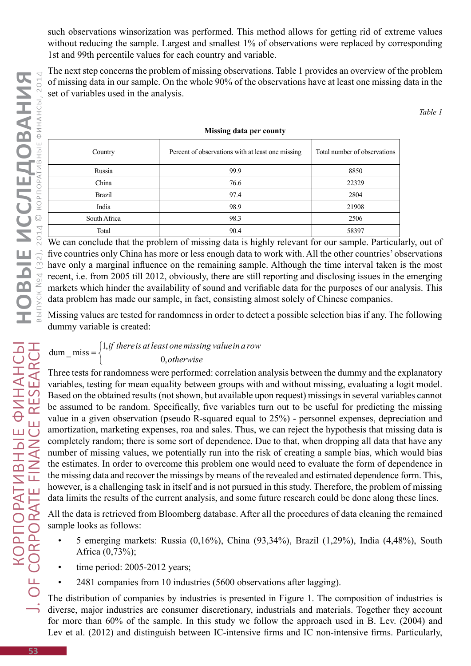such observations winsorization was performed. This method allows for getting rid of extreme values without reducing the sample. Largest and smallest 1% of observations were replaced by corresponding 1st and 99th percentile values for each country and variable.

The next step concerns the problem of missing observations. Table 1 provides an overview of the problem of missing data in our sample. On the whole 90% of the observations have at least one missing data in the set of variables used in the analysis.

*Table 1*

| Country       | Percent of observations with at least one missing | Total number of observations |  |  |  |
|---------------|---------------------------------------------------|------------------------------|--|--|--|
| Russia        | 99.9                                              | 8850                         |  |  |  |
| China         | 76.6                                              | 22329                        |  |  |  |
| <b>Brazil</b> | 97.4                                              | 2804                         |  |  |  |
| India         | 98.9                                              | 21908                        |  |  |  |
| South Africa  | 98.3                                              | 2506                         |  |  |  |
| Total         | 90.4                                              | 58397                        |  |  |  |

#### **Missing data per county**

We can conclude that the problem of missing data is highly relevant for our sample. Particularly, out of five countries only China has more or less enough data to work with. All the other countries' observations have only a marginal influence on the remaining sample. Although the time interval taken is the most recent, i.e. from 2005 till 2012, obviously, there are still reporting and disclosing issues in the emerging markets which hinder the availability of sound and verifiable data for the purposes of our analysis. This data problem has made our sample, in fact, consisting almost solely of Chinese companies.

Missing values are tested for randomness in order to detect a possible selection bias if any. The following dummy variable is created:

#### dum  $\_\$  miss  $= \begin{cases} 1, & \text{if there is at least one missing value in a row} \\ 0, & \text{otherwise} \end{cases}$ *otherwise*  $\overline{\mathcal{L}}$

Three tests for randomness were performed: correlation analysis between the dummy and the explanatory variables, testing for mean equality between groups with and without missing, evaluating a logit model. Based on the obtained results (not shown, but available upon request) missings in several variables cannot be assumed to be random. Specifically, five variables turn out to be useful for predicting the missing value in a given observation (pseudo R-squared equal to 25%) - personnel expenses, depreciation and amortization, marketing expenses, roa and sales. Thus, we can reject the hypothesis that missing data is completely random; there is some sort of dependence. Due to that, when dropping all data that have any number of missing values, we potentially run into the risk of creating a sample bias, which would bias the estimates. In order to overcome this problem one would need to evaluate the form of dependence in the missing data and recover the missings by means of the revealed and estimated dependence form. This, however, is a challenging task in itself and is not pursued in this study. Therefore, the problem of missing data limits the results of the current analysis, and some future research could be done along these lines.

All the data is retrieved from Bloomberg database. After all the procedures of data cleaning the remained sample looks as follows:

- 5 emerging markets: Russia  $(0.16\%)$ , China  $(93.34\%)$ , Brazil  $(1.29\%)$ , India  $(4.48\%)$ , South Africa (0,73%);
- time period: 2005-2012 years;
- 2481 companies from 10 industries (5600 observations after lagging).

The distribution of companies by industries is presented in Figure 1. The composition of industries is diverse, major industries are consumer discretionary, industrials and materials. Together they account for more than 60% of the sample. In this study we follow the approach used in B. Lev. (2004) and Lev et al. (2012) and distinguish between IC-intensive firms and IC non-intensive firms. Particularly,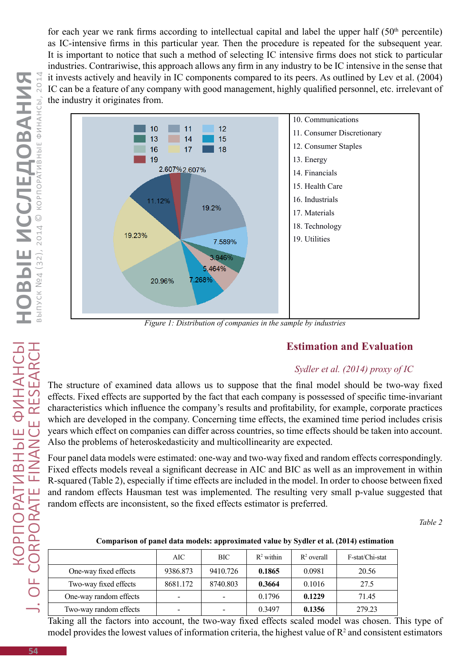for each year we rank firms according to intellectual capital and label the upper half  $(50<sup>th</sup>$  percentile) as IC-intensive firms in this particular year. Then the procedure is repeated for the subsequent year. It is important to notice that such a method of selecting IC intensive firms does not stick to particular industries. Contrariwise, this approach allows any firm in any industry to be IC intensive in the sense that it invests actively and heavily in IC components compared to its peers. As outlined by Lev et al. (2004) IC can be a feature of any company with good management, highly qualified personnel, etc. irrelevant of the industry it originates from.



*Figure 1: Distribution of companies in the sample by industries*

## **Estimation and Evaluation**

## *Sydler et al. (2014) proxy of IC*

The structure of examined data allows us to suppose that the final model should be two-way fixed effects. Fixed effects are supported by the fact that each company is possessed of specific time-invariant characteristics which influence the company's results and profitability, for example, corporate practices which are developed in the company. Concerning time effects, the examined time period includes crisis years which effect on companies can differ across countries, so time effects should be taken into account. Also the problems of heteroskedasticity and multicollinearity are expected.

Four panel data models were estimated: one-way and two-way fixed and random effects correspondingly. Fixed effects models reveal a significant decrease in AIC and BIC as well as an improvement in within R-squared (Table 2), especially if time effects are included in the model. In order to choose between fixed and random effects Hausman test was implemented. The resulting very small p-value suggested that random effects are inconsistent, so the fixed effects estimator is preferred.

*Table 2*

| Comparison of panel data models: approximated value by Sydler et al. (2014) estimation |  |  |
|----------------------------------------------------------------------------------------|--|--|
|----------------------------------------------------------------------------------------|--|--|

|                        | AIC      | BIC.     | $R^2$ within | $R^2$ overall | F-stat/Chi-stat |
|------------------------|----------|----------|--------------|---------------|-----------------|
| One-way fixed effects  | 9386.873 | 9410.726 | 0.1865       | 0.0981        | 20.56           |
| Two-way fixed effects  | 8681.172 | 8740.803 | 0.3664       | 0.1016        | 27.5            |
| One-way random effects |          |          | 0.1796       | 0.1229        | 71.45           |
| Two-way random effects |          |          | 0.3497       | 0.1356        | 279.23          |

Taking all the factors into account, the two-way fixed effects scaled model was chosen. This type of model provides the lowest values of information criteria, the highest value of  $\mathbb{R}^2$  and consistent estimators

OF CORPOR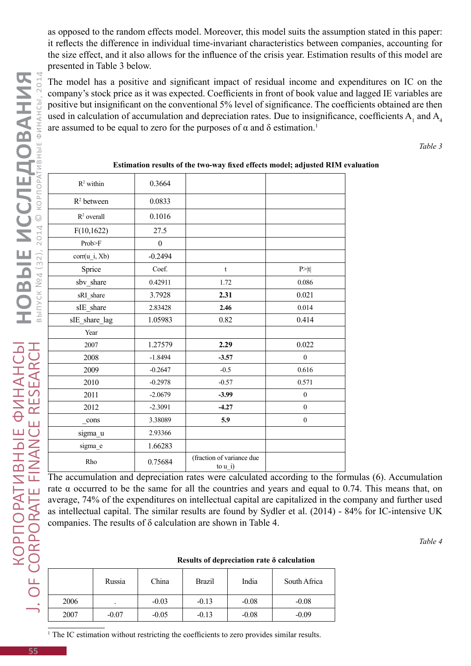as opposed to the random effects model. Moreover, this model suits the assumption stated in this paper: it reflects the difference in individual time-invariant characteristics between companies, accounting for the size effect, and it also allows for the influence of the crisis year. Estimation results of this model are presented in Table 3 below.

The model has a positive and significant impact of residual income and expenditures on IC on the company's stock price as it was expected. Coefficients in front of book value and lagged IE variables are positive but insignificant on the conventional 5% level of significance. The coefficients obtained are then used in calculation of accumulation and depreciation rates. Due to insignificance, coefficients  $A_1$  and  $A_4$ are assumed to be equal to zero for the purposes of  $\alpha$  and  $\delta$  estimation.<sup>1</sup>

*Table 3*

| $R^2$ within                                                               | 0.3664       |                                       |                  |
|----------------------------------------------------------------------------|--------------|---------------------------------------|------------------|
| $R2$ between                                                               | 0.0833       |                                       |                  |
| $R^2$ overall                                                              | 0.1016       |                                       |                  |
| F(10,1622)                                                                 | 27.5         |                                       |                  |
| Prob>F                                                                     | $\mathbf{0}$ |                                       |                  |
| corr(u i, Xb)                                                              | $-0.2494$    |                                       |                  |
| Sprice                                                                     | Coef.        | $\mathbf t$                           | P >  t           |
| sbv share                                                                  | 0.42911      | 1.72                                  | 0.086            |
| sRI share                                                                  | 3.7928       | 2.31                                  | 0.021            |
| sIE share                                                                  | 2.83428      | 2.46                                  | 0.014            |
| sIE_share_lag                                                              | 1.05983      | 0.82                                  | 0.414            |
| Year                                                                       |              |                                       |                  |
| 2007                                                                       | 1.27579      | 2.29                                  | 0.022            |
| 2008                                                                       | $-1.8494$    | $-3.57$                               | $\theta$         |
| 2009                                                                       | $-0.2647$    | $-0.5$                                | 0.616            |
| 2010                                                                       | $-0.2978$    | $-0.57$                               | 0.571            |
| 2011                                                                       | $-2.0679$    | $-3.99$                               | $\mathbf{0}$     |
| 2012                                                                       | $-2.3091$    | $-4.27$                               | $\overline{0}$   |
| $_{cons}$                                                                  | 3.38089      | 5.9                                   | $\boldsymbol{0}$ |
| sigma_u                                                                    | 2.93366      |                                       |                  |
| sigma_e                                                                    | 1.66283      |                                       |                  |
| Rho                                                                        | 0.75684      | (fraction of variance due<br>to $u_i$ |                  |
| The accumulation and depreciation rates were calculated according to the f |              |                                       |                  |

#### **Estimation results of the two-way fixed effects model; adjusted RIM evaluation**

formulas (6). Accumulation rate  $\alpha$  occurred to be the same for all the countries and years and equal to 0.74. This means that, on average, 74% of the expenditures on intellectual capital are capitalized in the company and further used as intellectual capital. The similar results are found by Sydler et al. (2014) - 84% for IC-intensive UK companies. The results of δ calculation are shown in Table 4.

*Table 4*

|  | Results of depreciation rate $\delta$ calculation |  |
|--|---------------------------------------------------|--|
|  |                                                   |  |

|      | Russia  | China   | <b>Brazil</b> | India   | South Africa |
|------|---------|---------|---------------|---------|--------------|
| 2006 |         | $-0.03$ | $-0.13$       | $-0.08$ | $-0.08$      |
| 2007 | $-0.07$ | $-0.05$ | $-0.13$       | $-0.08$ | $-0.09$      |

<sup>1</sup> The IC estimation without restricting the coefficients to zero provides similar results.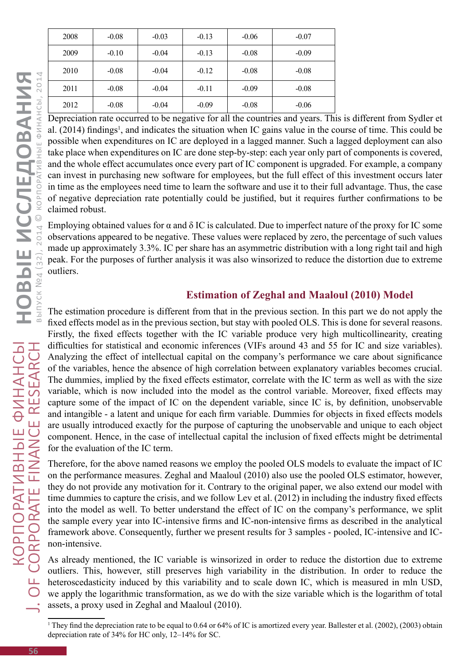| 2008 | $-0.08$ | $-0.03$ | $-0.13$ | $-0.06$ | $-0.07$ |
|------|---------|---------|---------|---------|---------|
| 2009 | $-0.10$ | $-0.04$ | $-0.13$ | $-0.08$ | $-0.09$ |
| 2010 | $-0.08$ | $-0.04$ | $-0.12$ | $-0.08$ | $-0.08$ |
| 2011 | $-0.08$ | $-0.04$ | $-0.11$ | $-0.09$ | $-0.08$ |
| 2012 | $-0.08$ | $-0.04$ | $-0.09$ | $-0.08$ | $-0.06$ |

Depreciation rate occurred to be negative for all the countries and years. This is different from Sydler et al. (2014) findings<sup>1</sup>, and indicates the situation when IC gains value in the course of time. This could be possible when expenditures on IC are deployed in a lagged manner. Such a lagged deployment can also take place when expenditures on IC are done step-by-step: each year only part of components is covered, and the whole effect accumulates once every part of IC component is upgraded. For example, a company can invest in purchasing new software for employees, but the full effect of this investment occurs later in time as the employees need time to learn the software and use it to their full advantage. Thus, the case of negative depreciation rate potentially could be justified, but it requires further confirmations to be claimed robust.

Employing obtained values for  $\alpha$  and  $\delta$  IC is calculated. Due to imperfect nature of the proxy for IC some observations appeared to be negative. These values were replaced by zero, the percentage of such values made up approximately 3.3%. IC per share has an asymmetric distribution with a long right tail and high peak. For the purposes of further analysis it was also winsorized to reduce the distortion due to extreme outliers.

## **Estimation of Zeghal and Maaloul (2010) Model**

The estimation procedure is different from that in the previous section. In this part we do not apply the fixed effects model as in the previous section, but stay with pooled OLS. This is done for several reasons. Firstly, the fixed effects together with the IC variable produce very high multicollinearity, creating difficulties for statistical and economic inferences (VIFs around 43 and 55 for IC and size variables). Analyzing the effect of intellectual capital on the company's performance we care about significance of the variables, hence the absence of high correlation between explanatory variables becomes crucial. The dummies, implied by the fixed effects estimator, correlate with the IC term as well as with the size variable, which is now included into the model as the control variable. Moreover, fixed effects may capture some of the impact of IC on the dependent variable, since IC is, by definition, unobservable and intangible - a latent and unique for each firm variable. Dummies for objects in fixed effects models are usually introduced exactly for the purpose of capturing the unobservable and unique to each object component. Hence, in the case of intellectual capital the inclusion of fixed effects might be detrimental for the evaluation of the IC term.

Therefore, for the above named reasons we employ the pooled OLS models to evaluate the impact of IC on the performance measures. Zeghal and Maaloul (2010) also use the pooled OLS estimator, however, they do not provide any motivation for it. Contrary to the original paper, we also extend our model with time dummies to capture the crisis, and we follow Lev et al. (2012) in including the industry fixed effects into the model as well. To better understand the effect of IC on the company's performance, we split the sample every year into IC-intensive firms and IC-non-intensive firms as described in the analytical framework above. Consequently, further we present results for 3 samples - pooled, IC-intensive and ICnon-intensive.

As already mentioned, the IC variable is winsorized in order to reduce the distortion due to extreme outliers. This, however, still preserves high variability in the distribution. In order to reduce the heteroscedasticity induced by this variability and to scale down IC, which is measured in mln USD, we apply the logarithmic transformation, as we do with the size variable which is the logarithm of total assets, a proxy used in Zeghal and Maaloul (2010).

<sup>&</sup>lt;sup>1</sup> They find the depreciation rate to be equal to 0.64 or 64% of IC is amortized every year. Ballester et al. (2002), (2003) obtain depreciation rate of 34% for HC only, 12–14% for SC.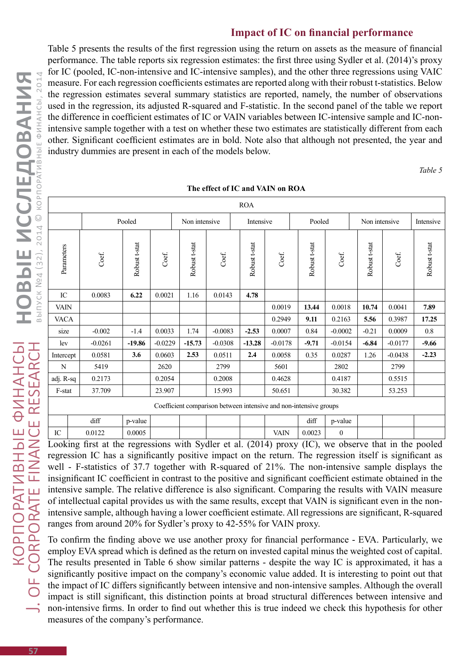### **Impact of IC on financial performance**

Table 5 presents the results of the first regression using the return on assets as the measure of financial performance. The table reports six regression estimates: the first three using Sydler et al. (2014)'s proxy for IC (pooled, IC-non-intensive and IC-intensive samples), and the other three regressions using VAIC measure. For each regression coefficients estimates are reported along with their robust t-statistics. Below the regression estimates several summary statistics are reported, namely, the number of observations used in the regression, its adjusted R-squared and F-statistic. In the second panel of the table we report the difference in coefficient estimates of IC or VAIN variables between IC-intensive sample and IC-nonintensive sample together with a test on whether these two estimates are statistically different from each other. Significant coefficient estimates are in bold. Note also that although not presented, the year and industry dummies are present in each of the models below.

*Table 5*

|             |           |               |           |               |                                                                   | <b>ROA</b>    |           |               |           |               |           |               |
|-------------|-----------|---------------|-----------|---------------|-------------------------------------------------------------------|---------------|-----------|---------------|-----------|---------------|-----------|---------------|
|             |           | Pooled        |           | Non intensive |                                                                   | Intensive     |           | Pooled        |           | Non intensive |           | Intensive     |
| Parameters  | Coef      | Robust t-stat | Coef.     | Robust t-stat | Coef.                                                             | Robust t-stat | Coef.     | Robust t-stat | Coef.     | Robust t-stat | Coef      | Robust t-stat |
| IC          | 0.0083    | 6.22          | 0.0021    | 1.16          | 0.0143                                                            | 4.78          |           |               |           |               |           |               |
| VAIN        |           |               |           |               |                                                                   |               | 0.0019    | 13.44         | 0.0018    | 10.74         | 0.0041    | 7.89          |
| <b>VACA</b> |           |               |           |               |                                                                   |               | 0.2949    | 9.11          | 0.2163    | 5.56          | 0.3987    | 17.25         |
| size        | $-0.002$  | $-1.4$        | 0.0033    | 1.74          | $-0.0083$                                                         | $-2.53$       | 0.0007    | 0.84          | $-0.0002$ | $-0.21$       | 0.0009    | 0.8           |
| lev         | $-0.0261$ | $-19.86$      | $-0.0229$ | $-15.73$      | $-0.0308$                                                         | $-13.28$      | $-0.0178$ | $-9.71$       | $-0.0154$ | $-6.84$       | $-0.0177$ | $-9.66$       |
| Intercept   | 0.0581    | 3.6           | 0.0603    | 2.53          | 0.0511                                                            | 2.4           | 0.0058    | 0.35          | 0.0287    | 1.26          | $-0.0438$ | $-2.23$       |
| N           | 5419      |               | 2620      |               | 2799                                                              |               | 5601      |               | 2802      |               | 2799      |               |
| adj. R-sq   | 0.2173    |               | 0.2054    |               | 0.2008                                                            |               | 0.4628    |               | 0.4187    |               | 0.5515    |               |
| F-stat      | 37.709    |               | 23.907    |               | 15.993                                                            |               | 50.651    |               | 30.382    |               | 53.253    |               |
|             |           |               |           |               | Coefficient comparison between intensive and non-intensive groups |               |           |               |           |               |           |               |

 **The effect of IC and VAIN on ROA**

|    | diff           | -value |  |  |             | diff   | -value |  |  |
|----|----------------|--------|--|--|-------------|--------|--------|--|--|
| IC | 0122<br>0.0122 | ,0005  |  |  | <b>VAIN</b> | 0.0023 |        |  |  |

Looking first at the regressions with Sydler et al. (2014) proxy (IC), we observe that in the pooled regression IC has a significantly positive impact on the return. The regression itself is significant as well - F-statistics of 37.7 together with R-squared of 21%. The non-intensive sample displays the insignificant IC coefficient in contrast to the positive and significant coefficient estimate obtained in the intensive sample. The relative difference is also significant. Comparing the results with VAIN measure of intellectual capital provides us with the same results, except that VAIN is significant even in the nonintensive sample, although having a lower coefficient estimate. All regressions are significant, R-squared ranges from around 20% for Sydler's proxy to 42-55% for VAIN proxy.

To confirm the finding above we use another proxy for financial performance - EVA. Particularly, we employ EVA spread which is defined as the return on invested capital minus the weighted cost of capital. The results presented in Table 6 show similar patterns - despite the way IC is approximated, it has a significantly positive impact on the company's economic value added. It is interesting to point out that the impact of IC differs significantly between intensive and non-intensive samples. Although the overall impact is still significant, this distinction points at broad structural differences between intensive and non-intensive firms. In order to find out whether this is true indeed we check this hypothesis for other measures of the company's performance.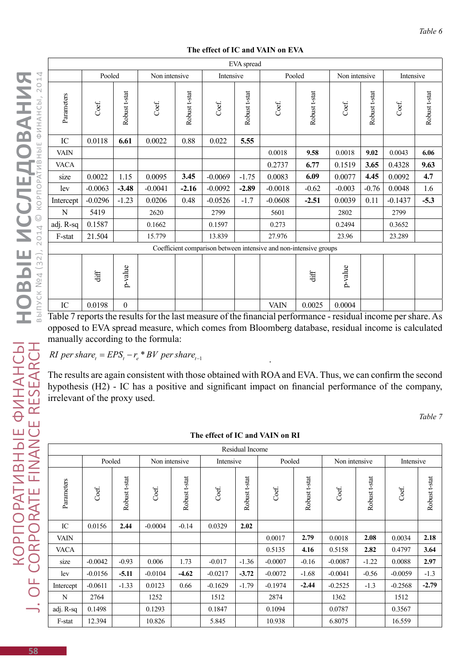| Table 6 |
|---------|
|         |

#### **The effect of IC and VAIN on EVA**

|             |           |                  |               |               |           | EVA spread    |                                                                   |               |               |               |           |               |
|-------------|-----------|------------------|---------------|---------------|-----------|---------------|-------------------------------------------------------------------|---------------|---------------|---------------|-----------|---------------|
|             | Pooled    |                  | Non intensive |               | Intensive |               | Pooled                                                            |               | Non intensive |               | Intensive |               |
| Parameters  | Coef.     | Robust t-stat    | Coef.         | Robust t-stat | Coef.     | Robust t-stat | Coef.                                                             | Robust t-stat | Coef.         | Robust t-stat | Coef.     | Robust t-stat |
| IC          | 0.0118    | 6.61             | 0.0022        | 0.88          | 0.022     | 5.55          |                                                                   |               |               |               |           |               |
| <b>VAIN</b> |           |                  |               |               |           |               | 0.0018                                                            | 9.58          | 0.0018        | 9.02          | 0.0043    | 6.06          |
| <b>VACA</b> |           |                  |               |               |           |               | 0.2737                                                            | 6.77          | 0.1519        | 3.65          | 0.4328    | 9.63          |
| size        | 0.0022    | 1.15             | 0.0095        | 3.45          | $-0.0069$ | $-1.75$       | 0.0083                                                            | 6.09          | 0.0077        | 4.45          | 0.0092    | 4.7           |
| lev         | $-0.0063$ | $-3.48$          | $-0.0041$     | $-2.16$       | $-0.0092$ | $-2.89$       | $-0.0018$                                                         | $-0.62$       | $-0.003$      | $-0.76$       | 0.0048    | 1.6           |
| Intercept   | $-0.0296$ | $-1.23$          | 0.0206        | 0.48          | $-0.0526$ | $-1.7$        | $-0.0608$                                                         | $-2.51$       | 0.0039        | 0.11          | $-0.1437$ | $-5.3$        |
| N           | 5419      |                  | 2620          |               | 2799      |               | 5601                                                              |               | 2802          |               | 2799      |               |
| adj. R-sq   | 0.1587    |                  | 0.1662        |               | 0.1597    |               | 0.273                                                             |               | 0.2494        |               | 0.3652    |               |
| F-stat      | 21.504    |                  | 15.779        |               | 13.839    |               | 27.976                                                            |               | 23.96         |               | 23.289    |               |
|             |           |                  |               |               |           |               | Coefficient comparison between intensive and non-intensive groups |               |               |               |           |               |
|             | diff      | p-value          |               |               |           |               |                                                                   | diff          | p-value       |               |           |               |
| ${\rm IC}$  | 0.0198    | $\boldsymbol{0}$ |               |               |           |               | <b>VAIN</b>                                                       | 0.0025        | 0.0004        |               |           |               |

Table 7 reports the results for the last measure of the financial performance - residual income per share. As opposed to EVA spread measure, which comes from Bloomberg database, residual income is calculated manually according to the formula:

 $RI per share_t = EPS_t - r_e * BV per share_{t-1}$ 

The results are again consistent with those obtained with ROA and EVA. Thus, we can confirm the second hypothesis (H2) - IC has a positive and significant impact on financial performance of the company, irrelevant of the proxy used.

*Table 7*

#### **The effect of IC and VAIN on RI**

|             |           |               |               |               |           | Residual Income |                     |               |           |                |           |               |  |
|-------------|-----------|---------------|---------------|---------------|-----------|-----------------|---------------------|---------------|-----------|----------------|-----------|---------------|--|
|             | Pooled    |               | Non intensive |               |           |                 | Pooled<br>Intensive |               |           | Non intensive. |           | Intensive     |  |
| Parameters  | Coef.     | Robust t-stat | Coef.         | Robust t-stat | Coef.     | Robust t-stat   | Coef.               | Robust t-stat | Coef.     | Robust t-stat  | Coef.     | Robust t-stat |  |
| IC          | 0.0156    | 2.44          | $-0.0004$     | $-0.14$       | 0.0329    | 2.02            |                     |               |           |                |           |               |  |
| <b>VAIN</b> |           |               |               |               |           |                 | 0.0017              | 2.79          | 0.0018    | 2.08           | 0.0034    | 2.18          |  |
| <b>VACA</b> |           |               |               |               |           |                 | 0.5135              | 4.16          | 0.5158    | 2.82           | 0.4797    | 3.64          |  |
| size        | $-0.0042$ | $-0.93$       | 0.006         | 1.73          | $-0.017$  | $-1.36$         | $-0.0007$           | $-0.16$       | $-0.0087$ | $-1.22$        | 0.0088    | 2.97          |  |
| lev         | $-0.0156$ | $-5.11$       | $-0.0104$     | $-4.62$       | $-0.0217$ | $-3.72$         | $-0.0072$           | $-1.68$       | $-0.0041$ | $-0.56$        | $-0.0059$ | $-1.3$        |  |
| Intercept   | $-0.0611$ | $-1.33$       | 0.0123        | 0.66          | $-0.1629$ | $-1.79$         | $-0.1974$           | $-2.44$       | $-0.2525$ | $-1.3$         | $-0.2568$ | $-2.79$       |  |
| N           | 2764      |               | 1252          |               | 1512      |                 | 2874                |               | 1362      |                | 1512      |               |  |
| adj. R-sq   | 0.1498    |               | 0.1293        |               | 0.1847    |                 | 0.1094              |               | 0.0787    |                | 0.3567    |               |  |
| F-stat      | 12.394    |               | 10.826        |               | 5.845     |                 | 10.938              |               | 6.8075    |                | 16.559    |               |  |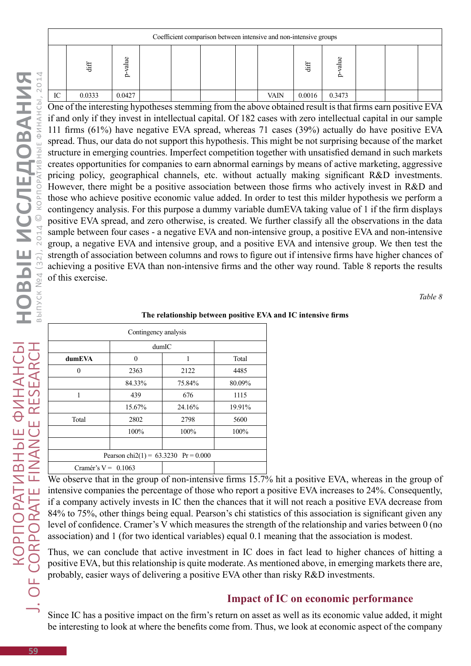|    | Coefficient comparison between intensive and non-intensive groups |         |  |  |  |  |             |        |        |  |  |  |  |  |
|----|-------------------------------------------------------------------|---------|--|--|--|--|-------------|--------|--------|--|--|--|--|--|
|    | diff                                                              | C.<br>≏ |  |  |  |  |             | diff   | ω      |  |  |  |  |  |
| IC | 0.0333                                                            | 0.0427  |  |  |  |  | <b>VAIN</b> | 0.0016 | 0.3473 |  |  |  |  |  |

One of the interesting hypotheses stemming from the above obtained result is that firms earn positive EVA if and only if they invest in intellectual capital. Of 182 cases with zero intellectual capital in our sample 111 firms (61%) have negative EVA spread, whereas 71 cases (39%) actually do have positive EVA spread. Thus, our data do not support this hypothesis. This might be not surprising because of the market structure in emerging countries. Imperfect competition together with unsatisfied demand in such markets creates opportunities for companies to earn abnormal earnings by means of active marketing, aggressive pricing policy, geographical channels, etc. without actually making significant R&D investments. However, there might be a positive association between those firms who actively invest in R&D and those who achieve positive economic value added. In order to test this milder hypothesis we perform a contingency analysis. For this purpose a dummy variable dumEVA taking value of 1 if the firm displays positive EVA spread, and zero otherwise, is created. We further classify all the observations in the data sample between four cases - a negative EVA and non-intensive group, a positive EVA and non-intensive group, a negative EVA and intensive group, and a positive EVA and intensive group. We then test the strength of association between columns and rows to figure out if intensive firms have higher chances of achieving a positive EVA than non-intensive firms and the other way round. Table 8 reports the results of this exercise.

*Table 8*

|                       | Contingency analysis                   |        |        |  |  |  |  |  |  |
|-----------------------|----------------------------------------|--------|--------|--|--|--|--|--|--|
|                       |                                        | dumIC  |        |  |  |  |  |  |  |
| dumEVA                | $\Omega$                               | 1      | Total  |  |  |  |  |  |  |
| $\Omega$              | 2363                                   | 2122   | 4485   |  |  |  |  |  |  |
|                       | 84.33%                                 | 75.84% | 80.09% |  |  |  |  |  |  |
| 1                     | 439                                    | 676    | 1115   |  |  |  |  |  |  |
|                       | 15.67%                                 | 24.16% | 19.91% |  |  |  |  |  |  |
| Total                 | 2802                                   | 2798   | 5600   |  |  |  |  |  |  |
|                       | 100%                                   | 100%   | 100%   |  |  |  |  |  |  |
|                       |                                        |        |        |  |  |  |  |  |  |
|                       | Pearson chi2(1) = $63.3230$ Pr = 0.000 |        |        |  |  |  |  |  |  |
| Cramér's $V = 0.1063$ |                                        |        |        |  |  |  |  |  |  |

**The relationship between positive EVA and IC intensive firms**

We observe that in the group of non-intensive firms 15.7% hit a positive EVA, whereas in the group of intensive companies the percentage of those who report a positive EVA increases to 24%. Consequently, if a company actively invests in IC then the chances that it will not reach a positive EVA decrease from 84% to 75%, other things being equal. Pearson's chi statistics of this association is significant given any level of confidence. Cramer's V which measures the strength of the relationship and varies between 0 (no association) and 1 (for two identical variables) equal 0.1 meaning that the association is modest.

Thus, we can conclude that active investment in IC does in fact lead to higher chances of hitting a positive EVA, but this relationship is quite moderate. As mentioned above, in emerging markets there are, probably, easier ways of delivering a positive EVA other than risky R&D investments.

## **Impact of IC on economic performance**

Since IC has a positive impact on the firm's return on asset as well as its economic value added, it might be interesting to look at where the benefits come from. Thus, we look at economic aspect of the company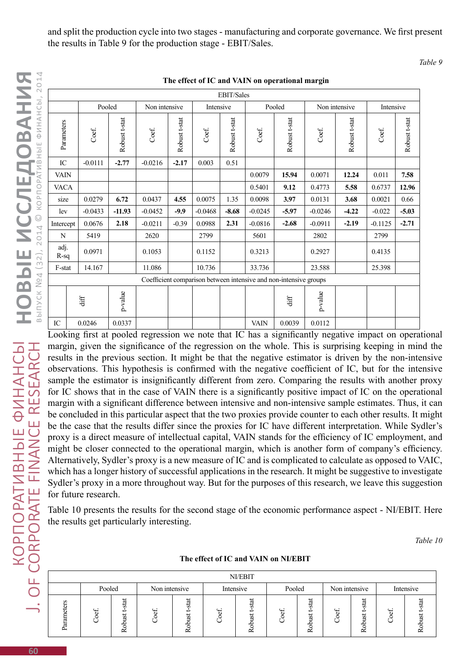and split the production cycle into two stages - manufacturing and corporate governance. We first present the results in Table 9 for the production stage - EBIT/Sales.

*Table 9*

|                |           |               |               |               |           |               |             | The effect of IC and VAIN on operational margin                   |           |               |           |               |
|----------------|-----------|---------------|---------------|---------------|-----------|---------------|-------------|-------------------------------------------------------------------|-----------|---------------|-----------|---------------|
|                |           |               |               |               |           | EBIT/Sales    |             |                                                                   |           |               |           |               |
|                |           | Pooled        | Non intensive |               | Intensive |               |             | Pooled                                                            |           | Non intensive | Intensive |               |
| Parameters     | Coef.     | Robust t-stat | Coef.         | Robust t-stat | Coef.     | Robust t-stat | Coef.       | Robust t-stat                                                     | Coef.     | Robust t-stat | Coef.     | Robust t-stat |
| IC             | $-0.0111$ | $-2.77$       | $-0.0216$     | $-2.17$       | 0.003     | 0.51          |             |                                                                   |           |               |           |               |
| <b>VAIN</b>    |           |               |               |               |           |               | 0.0079      | 15.94                                                             | 0.0071    | 12.24         | 0.011     | 7.58          |
| <b>VACA</b>    |           |               |               |               |           |               | 0.5401      | 9.12                                                              | 0.4773    | 5.58          | 0.6737    | 12.96         |
| size           | 0.0279    | 6.72          | 0.0437        | 4.55          | 0.0075    | 1.35          | 0.0098      | 3.97                                                              | 0.0131    | 3.68          | 0.0021    | 0.66          |
| lev            | $-0.0433$ | $-11.93$      | $-0.0452$     | $-9.9$        | $-0.0468$ | $-8.68$       | $-0.0245$   | $-5.97$                                                           | $-0.0246$ | $-4.22$       | $-0.022$  | $-5.03$       |
| Intercept      | 0.0676    | 2.18          | $-0.0211$     | $-0.39$       | 0.0988    | 2.31          | $-0.0816$   | $-2.68$                                                           | $-0.0911$ | $-2.19$       | $-0.1125$ | $-2.71$       |
| N              | 5419      |               | 2620          |               | 2799      |               | 5601        |                                                                   | 2802      |               | 2799      |               |
| adj.<br>$R-sq$ | 0.0971    |               | 0.1053        |               | 0.1152    |               | 0.3213      |                                                                   | 0.2927    |               | 0.4135    |               |
| F-stat         | 14.167    |               | 11.086        |               | 10.736    |               | 33.736      |                                                                   | 23.588    |               | 25.398    |               |
|                |           |               |               |               |           |               |             | Coefficient comparison between intensive and non-intensive groups |           |               |           |               |
|                | diff      | p-value       |               |               |           |               |             | diff                                                              | p-value   |               |           |               |
| $_{\rm IC}$    | 0.0246    | 0.0337        |               |               |           |               | <b>VAIN</b> | 0.0039                                                            | 0.0112    |               |           |               |

 **The effect of IC and VAIN on operational margin**

Looking first at pooled regression we note that IC has a significantly negative impact on operational margin, given the significance of the regression on the whole. This is surprising keeping in mind the results in the previous section. It might be that the negative estimator is driven by the non-intensive observations. This hypothesis is confirmed with the negative coefficient of IC, but for the intensive sample the estimator is insignificantly different from zero. Comparing the results with another proxy for IC shows that in the case of VAIN there is a significantly positive impact of IC on the operational margin with a significant difference between intensive and non-intensive sample estimates. Thus, it can be concluded in this particular aspect that the two proxies provide counter to each other results. It might be the case that the results differ since the proxies for IC have different interpretation. While Sydler's proxy is a direct measure of intellectual capital, VAIN stands for the efficiency of IC employment, and might be closer connected to the operational margin, which is another form of company's efficiency. Alternatively, Sydler's proxy is a new measure of IC and is complicated to calculate as opposed to VAIC, which has a longer history of successful applications in the research. It might be suggestive to investigate Sydler's proxy in a more throughout way. But for the purposes of this research, we leave this suggestion for future research.

Table 10 presents the results for the second stage of the economic performance aspect - NI/EBIT. Here the results get particularly interesting.

*Table 10*

| The effect of IC and VAIN on NI/EBIT |  |
|--------------------------------------|--|
|--------------------------------------|--|

| NI/EBIT |        |              |               |           |     |        |  |                                                    |   |                |          |             |  |
|---------|--------|--------------|---------------|-----------|-----|--------|--|----------------------------------------------------|---|----------------|----------|-------------|--|
|         | Pooled |              | Non intensive | Intensive |     | Pooled |  | Non intensive                                      |   | Intensive      |          |             |  |
| s<br>ᢍ  | ┶      | Зã<br>ಕ<br>≃ |               | ₩<br>≃    | ز ب | ಕ<br>≃ |  | sta<br>ಜ<br>$\overline{ }$<br>$\scriptstyle{\sim}$ | ₩ | stat<br>ಕ<br>∼ | ڼپ<br>õ٥ | ₩<br>⊭<br>≃ |  |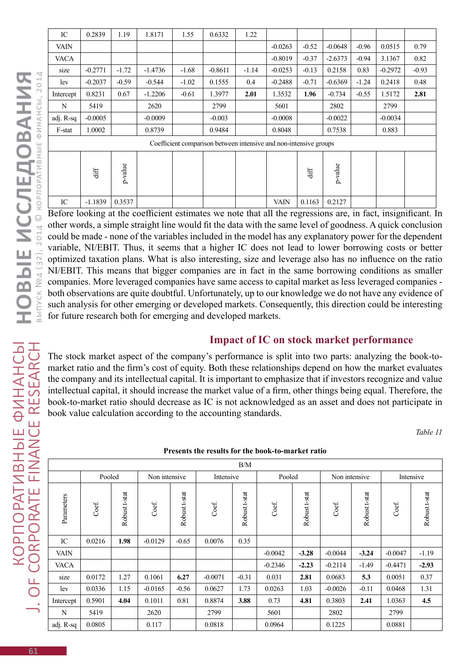| IC          | 0.2839    | 1.19    | 1.8171    | 1.55    | 0.6332                                                            | 1.22    |           |         |           |         |           |         |
|-------------|-----------|---------|-----------|---------|-------------------------------------------------------------------|---------|-----------|---------|-----------|---------|-----------|---------|
| VAIN        |           |         |           |         |                                                                   |         | $-0.0263$ | $-0.52$ | $-0.0648$ | $-0.96$ | 0.0515    | 0.79    |
| <b>VACA</b> |           |         |           |         |                                                                   |         | $-0.8019$ | $-0.37$ | $-2.6373$ | $-0.94$ | 3.1367    | 0.82    |
| size        | $-0.2771$ | $-1.72$ | $-1.4736$ | $-1.68$ | $-0.8611$                                                         | $-1.14$ | $-0.0253$ | $-0.13$ | 0.2158    | 0.83    | $-0.2972$ | $-0.93$ |
| lev         | $-0.2037$ | $-0.59$ | $-0.544$  | $-1.02$ | 0.1555                                                            | 0.4     | $-0.2488$ | $-0.71$ | $-0.6369$ | $-1.24$ | 0.2418    | 0.48    |
| Intercept   | 0.8231    | 0.67    | $-1.2206$ | $-0.61$ | 1.3977                                                            | 2.01    | 1.3532    | 1.96    | $-0.734$  | $-0.55$ | 1.5172    | 2.81    |
| N           | 5419      |         | 2620      |         | 2799                                                              |         | 5601      |         | 2802      |         | 2799      |         |
| adj. R-sq   | $-0.0005$ |         | $-0.0009$ |         | $-0.003$                                                          |         | $-0.0008$ |         | $-0.0022$ |         | $-0.0034$ |         |
| F-stat      | 1.0002    |         | 0.8739    |         | 0.9484                                                            |         | 0.8048    |         | 0.7538    |         | 0.883     |         |
|             |           |         |           |         | Coefficient comparison between intensive and non-intensive groups |         |           |         |           |         |           |         |
|             | diff      | p-value |           |         |                                                                   |         |           | diff    | p-value   |         |           |         |

IC -1.1839 0.3537 VAIN 0.1163 0.2127 Before looking at the coefficient estimates we note that all the regressions are, in fact, insignificant. In other words, a simple straight line would fit the data with the same level of goodness. A quick conclusion could be made - none of the variables included in the model has any explanatory power for the dependent variable, NI/EBIT. Thus, it seems that a higher IC does not lead to lower borrowing costs or better optimized taxation plans. What is also interesting, size and leverage also has no influence on the ratio NI/EBIT. This means that bigger companies are in fact in the same borrowing conditions as smaller companies. More leveraged companies have same access to capital market as less leveraged companies both observations are quite doubtful. Unfortunately, up to our knowledge we do not have any evidence of such analysis for other emerging or developed markets. Consequently, this direction could be interesting for future research both for emerging and developed markets.

## **Impact of IC on stock market performance**

The stock market aspect of the company's performance is split into two parts: analyzing the book-tomarket ratio and the firm's cost of equity. Both these relationships depend on how the market evaluates the company and its intellectual capital. It is important to emphasize that if investors recognize and value intellectual capital, it should increase the market value of a firm, other things being equal. Therefore, the book-to-market ratio should decrease as IC is not acknowledged as an asset and does not participate in book value calculation according to the accounting standards.

*Table 11* 

|             |        |               |               |               |           | B/M           |           |               |               |               |           |               |
|-------------|--------|---------------|---------------|---------------|-----------|---------------|-----------|---------------|---------------|---------------|-----------|---------------|
|             | Pooled |               | Non intensive |               | Intensive |               | Pooled    |               | Non intensive |               |           | Intensive     |
| Parameters  | Coef.  | Robust t-stat | Coef.         | Robust t-stat | Coef.     | Robust t-stat | Coef.     | Robust t-stat | Coef.         | Robust t-stat | Coef.     | Robust t-stat |
| IC          | 0.0216 | 1.98          | $-0.0129$     | $-0.65$       | 0.0076    | 0.35          |           |               |               |               |           |               |
| <b>VAIN</b> |        |               |               |               |           |               | $-0.0042$ | $-3.28$       | $-0.0044$     | $-3.24$       | $-0.0047$ | $-1.19$       |
| <b>VACA</b> |        |               |               |               |           |               | $-0.2346$ | $-2.23$       | $-0.2114$     | $-1.49$       | $-0.4471$ | $-2.93$       |
| size        | 0.0172 | 1.27          | 0.1061        | 6.27          | $-0.0071$ | $-0.31$       | 0.031     | 2.81          | 0.0683        | 5.3           | 0.0051    | 0.37          |
| lev         | 0.0336 | 1.15          | $-0.0165$     | $-0.56$       | 0.0627    | 1.73          | 0.0263    | 1.03          | $-0.0026$     | $-0.11$       | 0.0468    | 1.31          |
| Intercept   | 0.5901 | 4.04          | 0.1011        | 0.81          | 0.8874    | 3.88          | 0.73      | 4.81          | 0.3803        | 2.41          | 1.0363    | 4.5           |
| N           | 5419   |               | 2620          |               | 2799      |               | 5601      |               | 2802          |               | 2799      |               |
| adj. R-sq   | 0.0805 |               | 0.117         |               | 0.0818    |               | 0.0964    |               | 0.1225        |               | 0.0881    |               |

#### **Presents the results for the book-to-market ratio**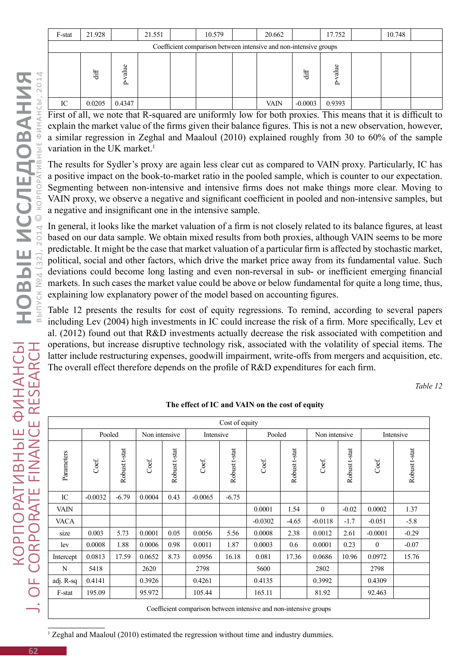| F-stat                                                            | 21.928 |           | 21.551 |  | 10.579 |  | 20.662      |           | 17.752 |  | 10.748 |  |
|-------------------------------------------------------------------|--------|-----------|--------|--|--------|--|-------------|-----------|--------|--|--------|--|
| Coefficient comparison between intensive and non-intensive groups |        |           |        |  |        |  |             |           |        |  |        |  |
|                                                                   | diff   | alue<br>ച |        |  |        |  |             | diff      | g<br>≏ |  |        |  |
| IC                                                                | 0.0205 | 0.4347    |        |  |        |  | <b>VAIN</b> | $-0.0003$ | 0.9393 |  |        |  |

First of all, we note that R-squared are uniformly low for both proxies. This means that it is difficult to explain the market value of the firms given their balance figures. This is not a new observation, however, a similar regression in Zeghal and Maaloul (2010) explained roughly from 30 to 60% of the sample variation in the UK market.<sup>1</sup>

The results for Sydler's proxy are again less clear cut as compared to VAIN proxy. Particularly, IC has a positive impact on the book-to-market ratio in the pooled sample, which is counter to our expectation. Segmenting between non-intensive and intensive firms does not make things more clear. Moving to VAIN proxy, we observe a negative and significant coefficient in pooled and non-intensive samples, but a negative and insignificant one in the intensive sample.

In general, it looks like the market valuation of a firm is not closely related to its balance figures, at least based on our data sample. We obtain mixed results from both proxies, although VAIN seems to be more predictable. It might be the case that market valuation of a particular firm is affected by stochastic market, political, social and other factors, which drive the market price away from its fundamental value. Such deviations could become long lasting and even non-reversal in sub- or inefficient emerging financial markets. In such cases the market value could be above or below fundamental for quite a long time, thus, explaining low explanatory power of the model based on accounting figures.

Table 12 presents the results for cost of equity regressions. To remind, according to several papers including Lev (2004) high investments in IC could increase the risk of a firm. More specifically, Lev et al. (2012) found out that R&D investments actually decrease the risk associated with competition and operations, but increase disruptive technology risk, associated with the volatility of special items. The latter include restructuring expenses, goodwill impairment, write-offs from mergers and acquisition, etc. The overall effect therefore depends on the profile of R&D expenditures for each firm.

*Table 12*

|             | Cost of equity                                                    |               |               |               |           |               |           |               |               |               |           |               |  |  |
|-------------|-------------------------------------------------------------------|---------------|---------------|---------------|-----------|---------------|-----------|---------------|---------------|---------------|-----------|---------------|--|--|
|             | Pooled                                                            |               | Non intensive |               | Intensive |               | Pooled    |               | Non intensive |               |           | Intensive     |  |  |
| Parameters  | Coef.                                                             | Robust t-stat | Coef.         | Robust t-stat | Coef.     | Robust t-stat | Coef.     | Robust t-stat | Coef.         | Robust t-stat | Coef.     | Robust t-stat |  |  |
| IC          | $-0.0032$                                                         | $-6.79$       | 0.0004        | 0.43          | $-0.0065$ | $-6.75$       |           |               |               |               |           |               |  |  |
| <b>VAIN</b> |                                                                   |               |               |               |           |               | 0.0001    | 1.54          | $\mathbf{0}$  | $-0.02$       | 0.0002    | 1.37          |  |  |
| <b>VACA</b> |                                                                   |               |               |               |           |               | $-0.0302$ | $-4.65$       | $-0.0118$     | $-1.7$        | $-0.051$  | $-5.8$        |  |  |
| size        | 0.003                                                             | 5.73          | 0.0001        | 0.05          | 0.0056    | 5.56          | 0.0008    | 2.38          | 0.0012        | 2.61          | $-0.0001$ | $-0.29$       |  |  |
| lev         | 0.0008                                                            | 1.88          | 0.0006        | 0.98          | 0.0011    | 1.87          | 0.0003    | 0.6           | 0.0001        | 0.23          | $\theta$  | $-0.07$       |  |  |
| Intercept   | 0.0813                                                            | 17.59         | 0.0652        | 8.73          | 0.0956    | 16.18         | 0.081     | 17.36         | 0.0686        | 10.96         | 0.0972    | 15.76         |  |  |
| N           | 5418                                                              |               | 2620          |               | 2798      |               | 5600      |               | 2802          |               | 2798      |               |  |  |
| adj. R-sq   | 0.4141                                                            |               | 0.3926        |               | 0.4261    |               | 0.4135    |               | 0.3992        |               | 0.4309    |               |  |  |
| F-stat      | 195.09                                                            |               | 95.972        |               | 105.44    |               | 165.11    |               | 81.92         |               | 92.463    |               |  |  |
|             | Coefficient comparison between intensive and non-intensive groups |               |               |               |           |               |           |               |               |               |           |               |  |  |

**The effect of IC and VAIN on the cost of equity**

Coefficient comparison between intensive and non-intensive groups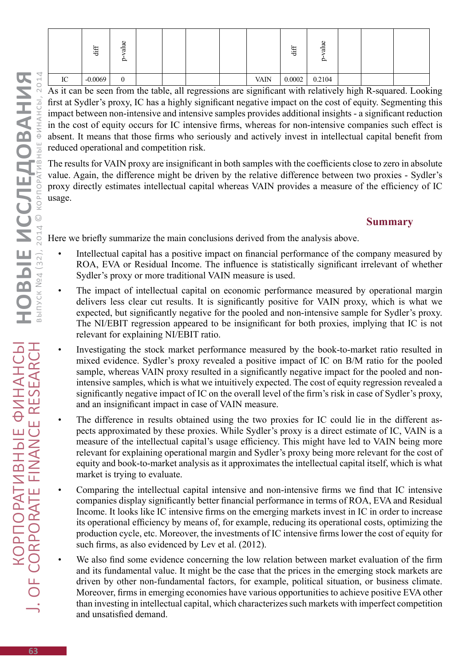|    | diff      | $\omega$<br>ಸ<br>≏ |  |  |             | Ë      | đ.<br>≏ |  |  |
|----|-----------|--------------------|--|--|-------------|--------|---------|--|--|
| IC | $-0.0069$ |                    |  |  | <b>VAIN</b> | 0.0002 | 0.2104  |  |  |

As it can be seen from the table, all regressions are significant with relatively high R-squared. Looking first at Sydler's proxy, IC has a highly significant negative impact on the cost of equity. Segmenting this impact between non-intensive and intensive samples provides additional insights - a significant reduction in the cost of equity occurs for IC intensive firms, whereas for non-intensive companies such effect is absent. It means that those firms who seriously and actively invest in intellectual capital benefit from reduced operational and competition risk.

The results for VAIN proxy are insignificant in both samples with the coefficients close to zero in absolute value. Again, the difference might be driven by the relative difference between two proxies - Sydler's proxy directly estimates intellectual capital whereas VAIN provides a measure of the efficiency of IC usage.

## **Summary**

Here we briefly summarize the main conclusions derived from the analysis above.

- Intellectual capital has a positive impact on financial performance of the company measured by ROA, EVA or Residual Income. The influence is statistically significant irrelevant of whether Sydler's proxy or more traditional VAIN measure is used.
- The impact of intellectual capital on economic performance measured by operational margin delivers less clear cut results. It is significantly positive for VAIN proxy, which is what we expected, but significantly negative for the pooled and non-intensive sample for Sydler's proxy. The NI/EBIT regression appeared to be insignificant for both proxies, implying that IC is not relevant for explaining NI/EBIT ratio.
- Investigating the stock market performance measured by the book-to-market ratio resulted in mixed evidence. Sydler's proxy revealed a positive impact of IC on B/M ratio for the pooled sample, whereas VAIN proxy resulted in a significantly negative impact for the pooled and nonintensive samples, which is what we intuitively expected. The cost of equity regression revealed a significantly negative impact of IC on the overall level of the firm's risk in case of Sydler's proxy, and an insignificant impact in case of VAIN measure.
- The difference in results obtained using the two proxies for IC could lie in the different aspects approximated by these proxies. While Sydler's proxy is a direct estimate of IC, VAIN is a measure of the intellectual capital's usage efficiency. This might have led to VAIN being more relevant for explaining operational margin and Sydler's proxy being more relevant for the cost of equity and book-to-market analysis as it approximates the intellectual capital itself, which is what market is trying to evaluate.
- Comparing the intellectual capital intensive and non-intensive firms we find that IC intensive companies display significantly better financial performance in terms of ROA, EVA and Residual Income. It looks like IC intensive firms on the emerging markets invest in IC in order to increase its operational efficiency by means of, for example, reducing its operational costs, optimizing the production cycle, etc. Moreover, the investments of IC intensive firms lower the cost of equity for such firms, as also evidenced by Lev et al. (2012).
- We also find some evidence concerning the low relation between market evaluation of the firm and its fundamental value. It might be the case that the prices in the emerging stock markets are driven by other non-fundamental factors, for example, political situation, or business climate. Moreover, firms in emerging economies have various opportunities to achieve positive EVA other than investing in intellectual capital, which characterizes such markets with imperfect competition and unsatisfied demand.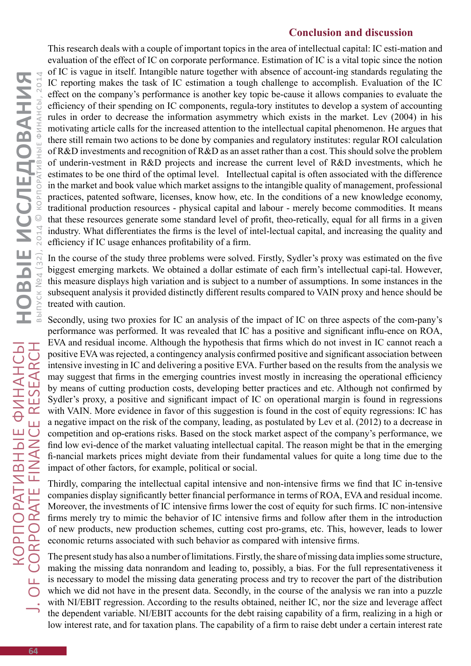## **Conclusion and discussion**

This research deals with a couple of important topics in the area of intellectual capital: IC esti-mation and evaluation of the effect of IC on corporate performance. Estimation of IC is a vital topic since the notion of IC is vague in itself. Intangible nature together with absence of account-ing standards regulating the IC reporting makes the task of IC estimation a tough challenge to accomplish. Evaluation of the IC effect on the company's performance is another key topic be-cause it allows companies to evaluate the efficiency of their spending on IC components, regula-tory institutes to develop a system of accounting rules in order to decrease the information asymmetry which exists in the market. Lev (2004) in his motivating article calls for the increased attention to the intellectual capital phenomenon. He argues that there still remain two actions to be done by companies and regulatory institutes: regular ROI calculation of R&D investments and recognition of R&D as an asset rather than a cost. This should solve the problem of underin-vestment in R&D projects and increase the current level of R&D investments, which he estimates to be one third of the optimal level. Intellectual capital is often associated with the difference in the market and book value which market assigns to the intangible quality of management, professional practices, patented software, licenses, know how, etc. In the conditions of a new knowledge economy, traditional production resources - physical capital and labour - merely become commodities. It means that these resources generate some standard level of profit, theo-retically, equal for all firms in a given industry. What differentiates the firms is the level of intel-lectual capital, and increasing the quality and efficiency if IC usage enhances profitability of a firm.

In the course of the study three problems were solved. Firstly, Sydler's proxy was estimated on the five biggest emerging markets. We obtained a dollar estimate of each firm's intellectual capi-tal. However, this measure displays high variation and is subject to a number of assumptions. In some instances in the subsequent analysis it provided distinctly different results compared to VAIN proxy and hence should be treated with caution.

Secondly, using two proxies for IC an analysis of the impact of IC on three aspects of the com-pany's performance was performed. It was revealed that IC has a positive and significant influ-ence on ROA, EVA and residual income. Although the hypothesis that firms which do not invest in IC cannot reach a positive EVA was rejected, a contingency analysis confirmed positive and significant association between intensive investing in IC and delivering a positive EVA. Further based on the results from the analysis we may suggest that firms in the emerging countries invest mostly in increasing the operational efficiency by means of cutting production costs, developing better practices and etc. Although not confirmed by Sydler's proxy, a positive and significant impact of IC on operational margin is found in regressions with VAIN. More evidence in favor of this suggestion is found in the cost of equity regressions: IC has a negative impact on the risk of the company, leading, as postulated by Lev et al. (2012) to a decrease in competition and op-erations risks. Based on the stock market aspect of the company's performance, we find low evi-dence of the market valuating intellectual capital. The reason might be that in the emerging fi-nancial markets prices might deviate from their fundamental values for quite a long time due to the impact of other factors, for example, political or social.

Thirdly, comparing the intellectual capital intensive and non-intensive firms we find that IC in-tensive companies display significantly better financial performance in terms of ROA, EVA and residual income. Moreover, the investments of IC intensive firms lower the cost of equity for such firms. IC non-intensive firms merely try to mimic the behavior of IC intensive firms and follow after them in the introduction of new products, new production schemes, cutting cost pro-grams, etc. This, however, leads to lower economic returns associated with such behavior as compared with intensive firms.

The present study has also a number of limitations. Firstly, the share of missing data implies some structure, making the missing data nonrandom and leading to, possibly, a bias. For the full representativeness it is necessary to model the missing data generating process and try to recover the part of the distribution which we did not have in the present data. Secondly, in the course of the analysis we ran into a puzzle with NI/EBIT regression. According to the results obtained, neither IC, nor the size and leverage affect the dependent variable. NI/EBIT accounts for the debt raising capability of a firm, realizing in a high or low interest rate, and for taxation plans. The capability of a firm to raise debt under a certain interest rate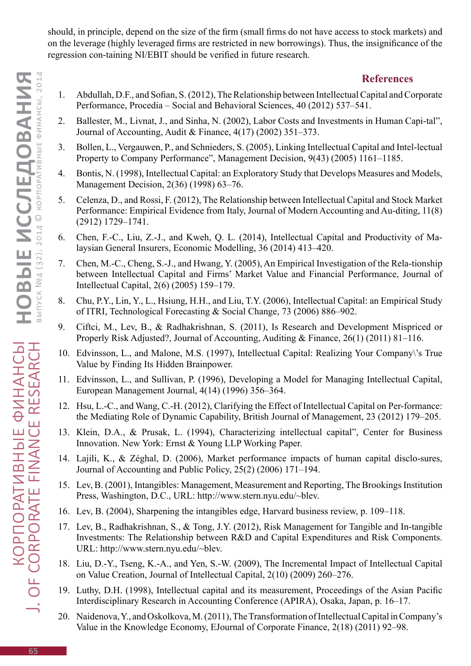should, in principle, depend on the size of the firm (small firms do not have access to stock markets) and on the leverage (highly leveraged firms are restricted in new borrowings). Thus, the insignificance of the regression con-taining NI/EBIT should be verified in future research.

# **References**

- 1. Abdullah, D.F., and Sofian, S. (2012), The Relationship between Intellectual Capital and Corporate Performance, Procedia – Social and Behavioral Sciences, 40 (2012) 537–541.
- 2. Ballester, M., Livnat, J., and Sinha, N. (2002), Labor Costs and Investments in Human Capi-tal", Journal of Accounting, Audit & Finance, 4(17) (2002) 351–373.
- 3. Bollen, L., Vergauwen, P., and Schnieders, S. (2005), Linking Intellectual Capital and Intel-lectual Property to Company Performance", Management Decision, 9(43) (2005) 1161–1185.
- 4. Bontis, N. (1998), Intellectual Capital: an Exploratory Study that Develops Measures and Models, Management Decision, 2(36) (1998) 63–76.
- 5. Celenza, D., and Rossi, F. (2012), The Relationship between Intellectual Capital and Stock Market Performance: Empirical Evidence from Italy, Journal of Modern Accounting and Au-diting, 11(8) (2912) 1729–1741.
- 6. Chen, F.-C., Liu, Z.-J., and Kweh, Q. L. (2014), Intellectual Capital and Productivity of Malaysian General Insurers, Economic Modelling, 36 (2014) 413–420.
- 7. Chen, M.-C., Cheng, S.-J., and Hwang, Y. (2005), An Empirical Investigation of the Rela-tionship between Intellectual Capital and Firms' Market Value and Financial Performance, Journal of Intellectual Capital, 2(6) (2005) 159–179.
- 8. Chu, P.Y., Lin, Y., L., Hsiung, H.H., and Liu, T.Y. (2006), Intellectual Capital: an Empirical Study of ITRI, Technological Forecasting & Social Change, 73 (2006) 886–902.
- 9. Ciftci, M., Lev, B., & Radhakrishnan, S. (2011), Is Research and Development Mispriced or Properly Risk Adjusted?, Journal of Accounting, Auditing & Finance, 26(1) (2011) 81–116.
- 10. Edvinsson, L., and Malone, M.S. (1997), Intellectual Capital: Realizing Your Company\'s True Value by Finding Its Hidden Brainpower.
- 11. Edvinsson, L., and Sullivan, P. (1996), Developing a Model for Managing Intellectual Capital, European Management Journal, 4(14) (1996) 356–364.
- 12. Hsu, L.-C., and Wang, C.-H. (2012), Clarifying the Effect of Intellectual Capital on Per-formance: the Mediating Role of Dynamic Capability, British Journal of Management, 23 (2012) 179–205.
- 13. Klein, D.A., & Prusak, L. (1994), Characterizing intellectual capital", Center for Business Innovation. New York: Ernst & Young LLP Working Paper.
- 14. Lajili, K., & Zéghal, D. (2006), Market performance impacts of human capital disclo-sures, Journal of Accounting and Public Policy, 25(2) (2006) 171–194.
- 15. Lev, B. (2001), Intangibles: Management, Measurement and Reporting, The Brookings Institution Press, Washington, D.C., URL: http://www.stern.nyu.edu/~blev.
- 16. Lev, B. (2004), Sharpening the intangibles edge, Harvard business review, р. 109–118.
- 17. Lev, B., Radhakrishnan, S., & Tong, J.Y. (2012), Risk Management for Tangible and In-tangible Investments: The Relationship between R&D and Capital Expenditures and Risk Components. URL: http://www.stern.nyu.edu/~blev.
- 18. Liu, D.-Y., Tseng, K.-A., and Yen, S.-W. (2009), The Incremental Impact of Intellectual Capital on Value Creation, Journal of Intellectual Capital, 2(10) (2009) 260–276.
- 19. Luthy, D.H. (1998), Intellectual capital and its measurement, Proceedings of the Asian Pacific Interdisciplinary Research in Accounting Conference (APIRA), Osaka, Japan, р. 16–17.
- 20. Naidenova, Y., and Oskolkova, M. (2011), The Transformation of Intellectual Capital in Company's Value in the Knowledge Economy, EJournal of Corporate Finance, 2(18) (2011) 92–98.